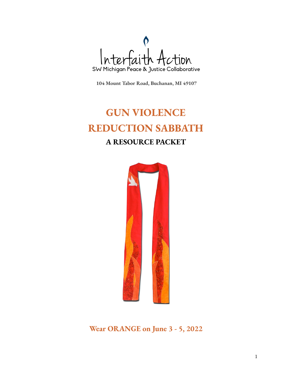

**104 Mount Tabor Road, [Buchanan,](https://www.google.com/maps/search/104+Mount+Tabor+Road,+Buchanan,+MI+49107?entry=gmail&source=g) MI 49107**

# **GUN VIOLENCE REDUCTION SABBATH A RESOURCE PACKET**



**Wear ORANGE on June 3 - 5, 2022**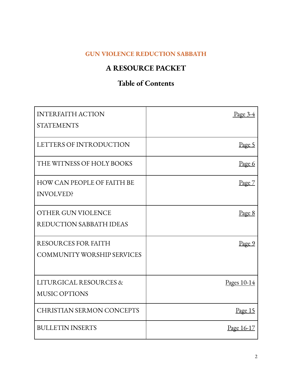## **GUN VIOLENCE REDUCTION SABBATH**

## **A RESOURCE PACKET**

## **Table of Contents**

| <b>INTERFAITH ACTION</b>          | Page $3-4$        |
|-----------------------------------|-------------------|
| <b>STATEMENTS</b>                 |                   |
| LETTERS OF INTRODUCTION           | <u>Page 5</u>     |
| THE WITNESS OF HOLY BOOKS         | Page 6            |
| <b>HOW CAN PEOPLE OF FAITH BE</b> | Page 7            |
| <b>INVOLVED?</b>                  |                   |
| OTHER GUN VIOLENCE                | Page 8            |
| REDUCTION SABBATH IDEAS           |                   |
| <b>RESOURCES FOR FAITH</b>        | <u>Page 9</u>     |
| <b>COMMUNITY WORSHIP SERVICES</b> |                   |
|                                   |                   |
| LITURGICAL RESOURCES &            | Pages 10-14       |
| <b>MUSIC OPTIONS</b>              |                   |
| <b>CHRISTIAN SERMON CONCEPTS</b>  | Page 15           |
| <b>BULLETIN INSERTS</b>           | <u>Page 16-17</u> |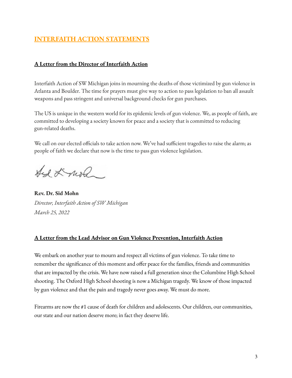## **INTERFAITH ACTION STATEMENTS**

#### **A Letter from the Director of Interfaith Action**

Interfaith Action of SW Michigan joins in mourning the deaths of those victimized by gun violence in Atlanta and Boulder. The time for prayers must give way to action to pass legislation to ban all assault weapons and pass stringent and universal background checks for gun purchases.

The US is unique in the western world for its epidemic levels of gun violence. We, as people of faith, are committed to developing a society known for peace and a society that is committed to reducing gun-related deaths.

We call on our elected officials to take action now. We've had sufficient tragedies to raise the alarm; as people of faith we declare that now is the time to pass gun violence legislation.

And Lund

**Rev. Dr. Sid Mohn** *Director, Interfaith Action of SW Michigan March 25, 2022*

#### **A Letter from the Lead Advisor on Gun Violence Prevention, Interfaith Action**

We embark on another year to mourn and respect all victims of gun violence. To take time to remember the significance of this moment and offer peace for the families, friends and communities that are impacted by the crisis. We have now raised a full generation since the Columbine High School shooting. The Oxford High School shooting is now a Michigan tragedy. We know of those impacted by gun violence and that the pain and tragedy never goes away. We must do more.

Firearms are now the #1 cause of death for children and adolescents. Our children, our communities, our state and our nation deserve more; in fact they deserve life.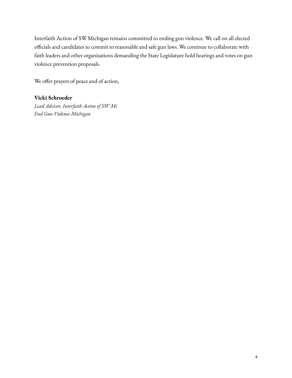Interfaith Action of SW Michigan remains committed to ending gun violence. We call on all elected officials and candidates to commit to reasonable and safe gun laws. We continue to collaborate with faith leaders and other organizations demanding the State Legislature hold hearings and votes on gun violence prevention proposals.

We offer prayers of peace and of action,

#### **Vicki Schroeder**

*Lead Advisor, Interfaith Action of SW Mi End Gun Violence Michigan*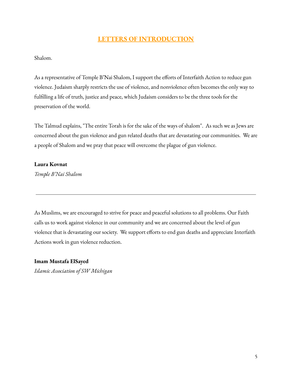## **LETTERS OF INTRODUCTION**

Shalom.

As a representative of Temple B'Nai Shalom, I support the efforts of Interfaith Action to reduce gun violence. Judaism sharply restricts the use of violence, and nonviolence often becomes the only way to fulfilling a life of truth, justice and peace, which Judaism considers to be the three tools for the preservation of the world.

The Talmud explains, "The entire Torah is for the sake of the ways of shalom". As such we as Jews are concerned about the gun violence and gun related deaths that are devastating our communities. We are a people of Shalom and we pray that peace will overcome the plague of gun violence.

#### **Laura Kovnat**

*Temple B'Nai Shalom*

As Muslims, we are encouraged to strive for peace and peaceful solutions to all problems. Our Faith calls us to work against violence in our community and we are concerned about the level of gun violence that is devastating our society. We support efforts to end gun deaths and appreciate Interfaith Actions work in gun violence reduction.

#### **Imam Mustafa ElSayed**

*Islamic Association of SW Michigan*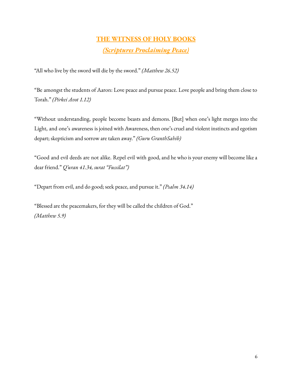## **THE WITNESS OF HOLY BOOKS** *(Scriptures Proclaiming Peace)*

"All who live by the sword will die by the sword." *(Matthew 26.52)*

"Be amongst the students of Aaron: Love peace and pursue peace. Love people and bring them close to Torah." *(Pirkei Avot 1.12)*

"Without understanding, people become beasts and demons. [But] when one's light merges into the Light, and one's awareness is joined with Awareness, then one's cruel and violent instincts and egotism depart; skepticism and sorrow are taken away." *(Guru GranthSahib)*

"Good and evil deeds are not alike. Repel evil with good, and he who is your enemy will become like a dear friend." *Q'uran 41.34, surat "Fussilat")*

"Depart from evil, and do good; seek peace, and pursue it." *(Psalm 34.14)*

"Blessed are the peacemakers, for they will be called the children of God." *(Matthew 5.9)*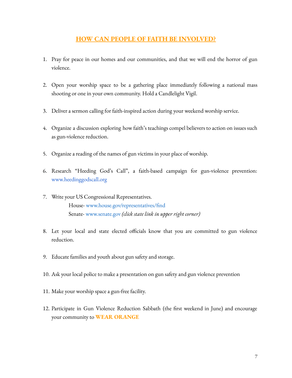### **HOW CAN PEOPLE OF FAITH BE INVOLVED?**

- 1. Pray for peace in our homes and our communities, and that we will end the horror of gun violence.
- 2. Open your worship space to be a gathering place immediately following a national mass shooting or one in your own community. Hold a Candlelight Vigil.
- 3. Deliver a sermon calling for faith-inspired action during your weekend worship service.
- 4. Organize a discussion exploring how faith's teachings compel believers to action on issues such as gun-violence reduction.
- 5. Organize a reading of the names of gun victims in your place of worship.
- 6. Research "Heeding God's Call", a faith-based campaign for gun-violence prevention: [www.heedinggodscall.org](http://www.heedinggodscall.org/)
- 7. Write your US Congressional Representatives. House- [www.house.gov/representatives/find](http://www.house.gov/representatives/find/) Senate- [www.senate.gov](http://www.senate.gov/) *(click state link in upper right corner)*
- 8. Let your local and state elected officials know that you are committed to gun violence reduction.
- 9. Educate families and youth about gun safety and storage.
- 10. Ask your local police to make a presentation on gun safety and gun violence prevention
- 11. Make your worship space a gun-free facility.
- 12. Participate in Gun Violence Reduction Sabbath (the first weekend in June) and encourage your community to **WEAR ORANGE**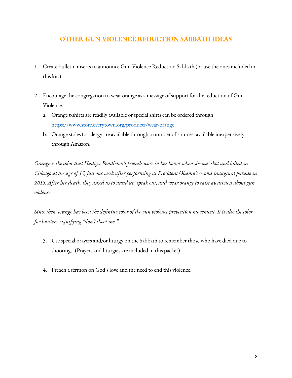## **OTHER GUN VIOLENCE REDUCTION SABBATH IDEAS**

- 1. Create bulletin inserts to announce Gun Violence Reduction Sabbath (or use the ones included in this kit.)
- 2. Encourage the congregation to wear orange as a message of support for the reduction of Gun Violence.
	- a. Orange t-shirts are readily available or special shirts can be ordered through <https://www.store.everytown.org/products/wear-orange>
	- b. Orange stoles for clergy are available through a number of sources; available inexpensively through Amazon.

Orange is the color that Hadiya Pendleton's friends wore in her honor when she was shot and killed in Chicago at the age of 15, just one week after performing at President Obama's second inaugural parade in 2013. After her death, they asked us to stand up, speak out, and wear orange to raise awareness about gun *violence.*

Since then, orange has been the defining color of the gun violence prevention movement. It is also the color *for hunters, signifying "don't shoot me."*

- 3. Use special prayers and/or liturgy on the Sabbath to remember those who have died due to shootings. (Prayers and liturgies are included in this packet)
- 4. Preach a sermon on God's love and the need to end this violence.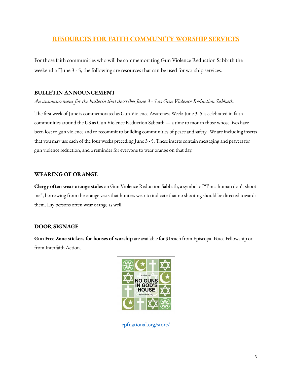### **RESOURCES FOR FAITH COMMUNITY WORSHIP SERVICES**

For those faith communities who will be commemorating Gun Violence Reduction Sabbath the weekend of June 3 - 5, the following are resources that can be used for worship services.

#### **BULLETIN ANNOUNCEMENT**

*An announcement for the bulletin that describes June 3 - 5 as Gun Violence Reduction Sabbath.*

The first week of June is commemorated as Gun Violence Awareness Week; June 3- 5 is celebrated in faith communities around the US as Gun Violence Reduction Sabbath — a time to mourn those whose lives have been lost to gun violence and to recommit to building communities of peace and safety. We are including inserts that you may use each of the four weeks preceding June 3 - 5. These inserts contain messaging and prayers for gun violence reduction, and a reminder for everyone to wear orange on that day.

#### **WEARING OF ORANGE**

**Clergy often wear orange stoles** on Gun Violence Reduction Sabbath, a symbol of "I'm a human don't shoot me", borrowing from the orange vests that hunters wear to indicate that no shooting should be directed towards them. Lay persons often wear orange as well.

#### **DOOR SIGNAGE**

**Gun Free Zone stickers for houses of worship** are available for \$1/each from Episcopal Peace Fellowship or from Interfaith Action.



epfnational.org/store/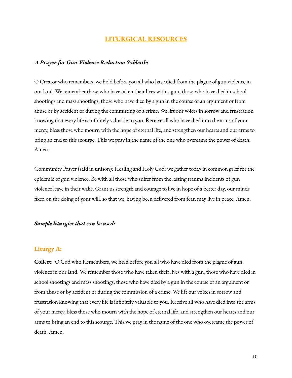#### **LITURGICAL RESOURCES**

#### *A Prayer for Gun Violence Reduction Sabbath:*

O Creator who remembers, we hold before you all who have died from the plague of gun violence in our land. We remember those who have taken their lives with a gun, those who have died in school shootings and mass shootings, those who have died by a gun in the course of an argument or from abuse or by accident or during the committing of a crime. We lift our voices in sorrow and frustration knowing that every life is infinitely valuable to you. Receive all who have died into the arms of your mercy, bless those who mourn with the hope of eternal life, and strengthen our hearts and our arms to bring an end to this scourge. This we pray in the name of the one who overcame the power of death. Amen.

Community Prayer (said in unison): Healing and Holy God: we gather today in common grief for the epidemic of gun violence. Be with all those who suffer from the lasting trauma incidents of gun violence leave in their wake. Grant us strength and courage to live in hope of a better day, our minds fixed on the doing of your will, so that we, having been delivered from fear, may live in peace. Amen.

#### *Sample liturgies that can be used:*

#### **Liturgy A:**

**Collect:** O God who Remembers, we hold before you all who have died from the plague of gun violence in our land. We remember those who have taken their lives with a gun, those who have died in school shootings and mass shootings, those who have died by a gun in the course of an argument or from abuse or by accident or during the commission of a crime. We lift our voices in sorrow and frustration knowing that every life is infinitely valuable to you. Receive all who have died into the arms of your mercy, bless those who mourn with the hope of eternal life, and strengthen our hearts and our arms to bring an end to this scourge. This we pray in the name of the one who overcame the power of death. Amen.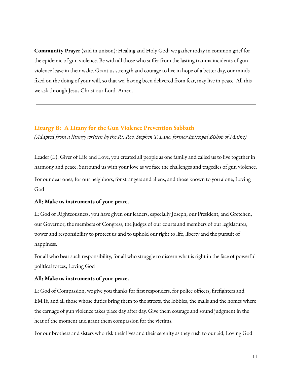**Community Prayer** (said in unison): Healing and Holy God: we gather today in common grief for the epidemic of gun violence. Be with all those who suffer from the lasting trauma incidents of gun violence leave in their wake. Grant us strength and courage to live in hope of a better day, our minds fixed on the doing of your will, so that we, having been delivered from fear, may live in peace. All this we ask through Jesus Christ our Lord. Amen.

#### **Liturgy B: A Litany for the Gun Violence Prevention Sabbath**

*(Adapted from a liturgy written by the Rt. Rev. Stephen T. Lane, former Episcopal Bishop of Maine)*

Leader (L): Giver of Life and Love, you created all people as one family and called us to live together in harmony and peace. Surround us with your love as we face the challenges and tragedies of gun violence. For our dear ones, for our neighbors, for strangers and aliens, and those known to you alone, Loving God

#### **All: Make us instruments of your peace.**

L: God of Righteousness, you have given our leaders, especially Joseph, our President, and Gretchen, our Governor, the members of Congress, the judges of our courts and members of our legislatures, power and responsibility to protect us and to uphold our right to life, liberty and the pursuit of happiness.

For all who bear such responsibility, for all who struggle to discern what is right in the face of powerful political forces, Loving God

#### **All: Make us instruments of your peace.**

L: God of Compassion, we give you thanks for first responders, for police officers, firefighters and EMTs, and all those whose duties bring them to the streets, the lobbies, the malls and the homes where the carnage of gun violence takes place day after day. Give them courage and sound judgment in the heat of the moment and grant them compassion for the victims.

For our brothers and sisters who risk their lives and their serenity as they rush to our aid, Loving God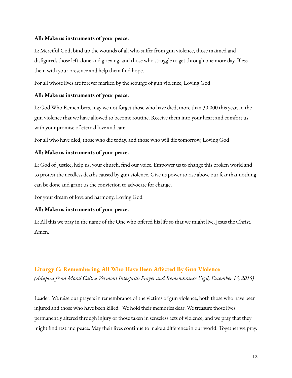#### **All: Make us instruments of your peace.**

L: Merciful God, bind up the wounds of all who suffer from gun violence, those maimed and disfigured, those left alone and grieving, and those who struggle to get through one more day. Bless them with your presence and help them find hope.

For all whose lives are forever marked by the scourge of gun violence, Loving God

#### **All: Make us instruments of your peace.**

L: God Who Remembers, may we not forget those who have died, more than 30,000 this year, in the gun violence that we have allowed to become routine. Receive them into your heart and comfort us with your promise of eternal love and care.

For all who have died, those who die today, and those who will die tomorrow, Loving God

#### **All: Make us instruments of your peace.**

L: God of Justice, help us, your church, find our voice. Empower us to change this broken world and to protest the needless deaths caused by gun violence. Give us power to rise above our fear that nothing can be done and grant us the conviction to advocate for change.

For your dream of love and harmony, Loving God

#### **All: Make us instruments of your peace.**

L: All this we pray in the name of the One who offered his life so that we might live, Jesus the Christ. Amen.

### **Liturgy C: Remembering All Who Have Been Affected By Gun Violence**

*(Adapted from Moral Call: a Vermont Interfaith Prayer and Remembrance Vigil, December 15, 2015)*

Leader: We raise our prayers in remembrance of the victims of gun violence, both those who have been injured and those who have been killed. We hold their memories dear. We treasure those lives permanently altered through injury or those taken in senseless acts of violence, and we pray that they might find rest and peace. May their lives continue to make a difference in our world. Together we pray.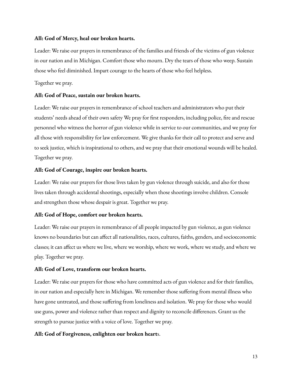#### **All: God of Mercy, heal our broken hearts.**

Leader: We raise our prayers in remembrance of the families and friends of the victims of gun violence in our nation and in Michigan. Comfort those who mourn. Dry the tears of those who weep. Sustain those who feel diminished. Impart courage to the hearts of those who feel helpless.

#### Together we pray.

#### **All: God of Peace, sustain our broken hearts.**

Leader: We raise our prayers in remembrance of school teachers and administrators who put their students' needs ahead of their own safety We pray for first responders, including police, fire and rescue personnel who witness the horror of gun violence while in service to our communities, and we pray for all those with responsibility for law enforcement. We give thanks for their call to protect and serve and to seek justice, which is inspirational to others, and we pray that their emotional wounds will be healed. Together we pray.

#### **All: God of Courage, inspire our broken hearts.**

Leader: We raise our prayers for those lives taken by gun violence through suicide, and also for those lives taken through accidental shootings, especially when those shootings involve children. Console and strengthen those whose despair is great. Together we pray.

#### **All: God of Hope, comfort our broken hearts.**

Leader: We raise our prayers in remembrance of all people impacted by gun violence, as gun violence knows no boundaries but can affect all nationalities, races, cultures, faiths, genders, and socioeconomic classes; it can affect us where we live, where we worship, where we work, where we study, and where we play. Together we pray.

#### **All: God of Love, transform our broken hearts.**

Leader: We raise our prayers for those who have committed acts of gun violence and for their families, in our nation and especially here in Michigan. We remember those suffering from mental illness who have gone untreated, and those suffering from loneliness and isolation. We pray for those who would use guns, power and violence rather than respect and dignity to reconcile differences. Grant us the strength to pursue justice with a voice of love. Together we pray.

#### **All: God of Forgiveness, enlighten our broken heart**s.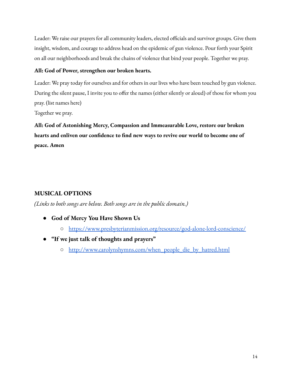Leader: We raise our prayers for all community leaders, elected officials and survivor groups. Give them insight, wisdom, and courage to address head on the epidemic of gun violence. Pour forth your Spirit on all our neighborhoods and break the chains of violence that bind your people. Together we pray.

#### **All: God of Power, strengthen our broken hearts.**

Leader: We pray today for ourselves and for others in our lives who have been touched by gun violence. During the silent pause, I invite you to offer the names (either silently or aloud) of those for whom you pray. (list names here)

Together we pray.

**All: God of Astonishing Mercy, Compassion and Immeasurable Love, restore our broken hearts and enliven our confidence to find new ways to revive our world to become one of peace. Amen**

### **MUSICAL OPTIONS**

*(Links to both songs are below. Both songs are in the public domain.)*

- **God of Mercy You Have Shown Us**
	- <https://www.presbyterianmission.org/resource/god-alone-lord-conscience/>
- **"If we just talk of thoughts and prayers"**
	- [http://www.carolynshymns.com/when\\_people\\_die\\_by\\_hatred.html](http://www.carolynshymns.com/when_people_die_by_hatred.html)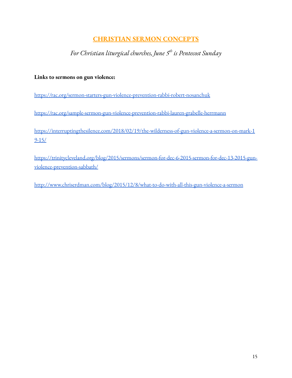## **CHRISTIAN SERMON CONCEPTS**

*For Christian liturgical churches, June 5 th is Pentecost Sunday*

### **Links to sermons on gun violence:**

<https://rac.org/sermon-starters-gun-violence-prevention-rabbi-robert-nosanchuk>

<https://rac.org/sample-sermon-gun-violence-prevention-rabbi-lauren-grabelle-herrmann>

[https://interruptingthesilence.com/2018/02/19/the-wilderness-of-gun-violence-a-sermon-on-mark-1](https://interruptingthesilence.com/2018/02/19/the-wilderness-of-gun-violence-a-sermon-on-mark-19-15/) [9-15/](https://interruptingthesilence.com/2018/02/19/the-wilderness-of-gun-violence-a-sermon-on-mark-19-15/)

[https://trinitycleveland.org/blog/2015/sermons/sermon-for-dec-6-2015-sermon-for-dec-13-2015-gun](https://trinitycleveland.org/blog/2015/sermons/sermon-for-dec-6-2015-sermon-for-dec-13-2015-gun-violence-prevention-sabbath/)[violence-prevention-sabbath/](https://trinitycleveland.org/blog/2015/sermons/sermon-for-dec-6-2015-sermon-for-dec-13-2015-gun-violence-prevention-sabbath/)

<http://www.chriserdman.com/blog/2015/12/8/what-to-do-with-all-this-gun-violence-a-sermon>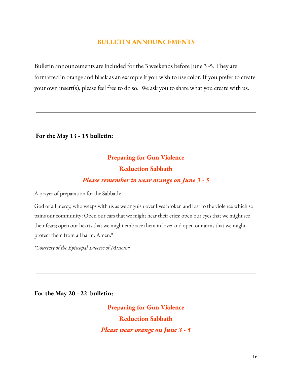## **BULLETIN ANNOUNCEMENTS**

Bulletin announcements are included for the 3 weekends before June 3 -5. They are formatted in orange and black as an example if you wish to use color. If you prefer to create your own insert(s), please feel free to do so. We ask you to share what you create with us.

**For the May 13 - 15 bulletin:**

## **Preparing for Gun Violence Reduction Sabbath**

## *Please remember to wear orange on June 3 - 5*

A prayer of preparation for the Sabbath:

God of all mercy, who weeps with us as we anguish over lives broken and lost to the violence which so pains our community: Open our ears that we might hear their cries; open our eyes that we might see their fears; open our hearts that we might embrace them in love; and open our arms that we might protect them from all harm. Amen.**\***

*\*Courtesy of the Episcopal Diocese of Missouri*

**For the May 20 - 22 bulletin:**

**Preparing for Gun Violence Reduction Sabbath** *Please wear orange on June 3 - 5*